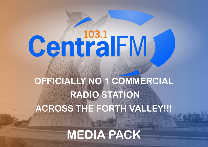# **CentralFM**

# **OFFICIALLY NO 1 COMMERCIAL RADIO STATION ACROSS THE FORTH VALLEY!!!**

**MEDIA PACK**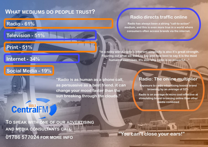#### **WHAT MEDIUMS DO PEOPLE TRUST?**

#### **Radio - 61%**

#### **Television - 51%**

#### **Print - 51%**

#### **Internet - 34%**

#### **Social Media - 19%**

**"Radio is as human as a phone call, as persuasive as a best friend. it can change your mood faster than the sun breaking through the clouds."**

#### **Radio: The online multiplier**

**Exposure to radio advertising boosts brand browsing by an average of 52%**

**Radio is on average 4x more cost-effective at stimulating brand browsing online than other media combined**

## **CentralFM**

**TO SPEAK WITH ONE OF OUR ADVERTISING AND MEDIA CONSULTANTS CALL 01786 577024 FOR MORE INFO**

**"You can't close your ears!"**

#### **Radio directs traffic online**

**Radio has always been a strong "call-to-action" medium, and this is even more true in a world where consumers often access brands via the internet.** 

**"In a noisy world, radio's inherent simplicity is also it's great strength. Figuring out what we want to say and how best to say it is the most human of exercises. It's also why radio is so powerful…"**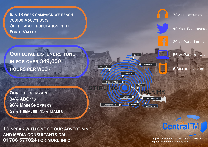**IN A 13 WEEK CAMPAIGN WE REACH 76,000 ADULTS 35% OF THE ADULT POPULATION IN THE FORTH VALLEY!**

**OUR LOYAL LISTENERS TUNE IN FOR OVER 349,000 HOURS PER WEEK**

**OUR LISTENERS ARE: 34% ABC1'S 96% MAIN SHOPPERS 57% FEMALES 43% MALES**

**TO SPEAK WITH ONE OF OUR ADVERTISING AND MEDIA CONSULTANTS CALL 01786 577024 FOR MORE INFO**



### **CentralFM**

**\*Figures from Rajar 2021 Qtr 34based on listening figures in the Forth Valley TSA**